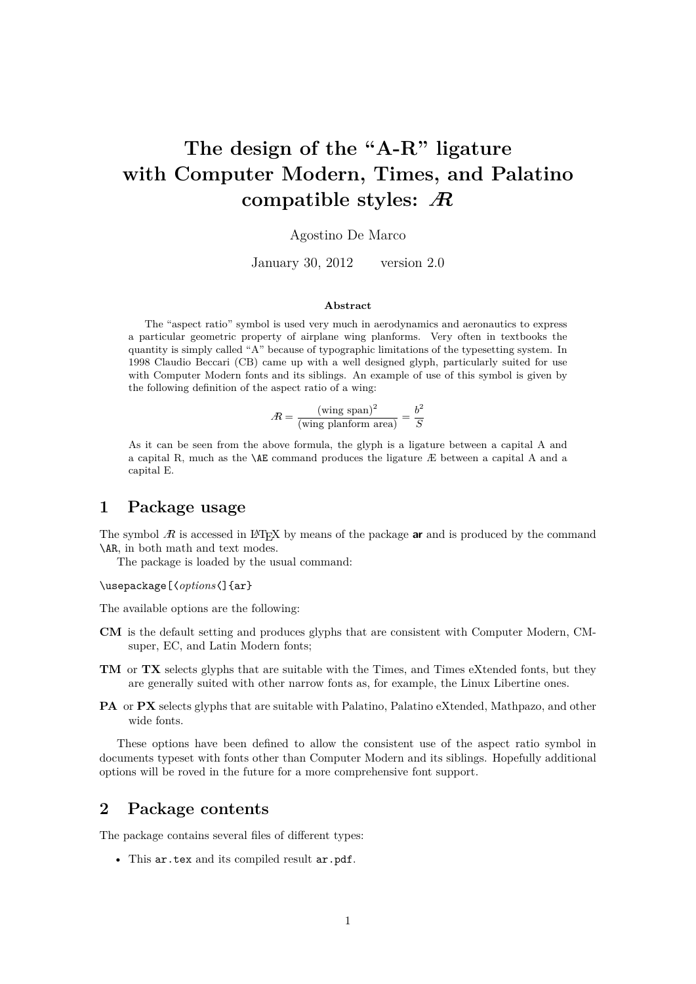# **The design of the "A-R" ligature with Computer Modern, Times, and Palatino compatible styles:** A

#### Agostino De Marco

January 30, 2012 version 2.0

#### **Abstract**

The "aspect ratio" symbol is used very much in aerodynamics and aeronautics to express a particular geometric property of airplane wing planforms. Very often in textbooks the quantity is simply called "A" because of typographic limitations of the typesetting system. In 1998 Claudio Beccari (CB) came up with a well designed glyph, particularly suited for use with Computer Modern fonts and its siblings. An example of use of this symbol is given by the following definition of the aspect ratio of a wing:

$$
A = \frac{(\text{wing span})^2}{(\text{wing planform area})} = \frac{b^2}{S}
$$

As it can be seen from the above formula, the glyph is a ligature between a capital A and a capital R, much as the \AE command produces the ligature Æ between a capital A and a capital E.

### **1 Package usage**

The symbol  $\hat{A}$  is accessed in LAT<sub>EX</sub> by means of the package **ar** and is produced by the command \AR, in both math and text modes.

The package is loaded by the usual command:

\usepackage[〈*options*〈]{ar}

The available options are the following:

- **CM** is the default setting and produces glyphs that are consistent with Computer Modern, CMsuper, EC, and Latin Modern fonts;
- **TM** or **TX** selects glyphs that are suitable with the Times, and Times eXtended fonts, but they are generally suited with other narrow fonts as, for example, the Linux Libertine ones.
- **PA** or **PX** selects glyphs that are suitable with Palatino, Palatino eXtended, Mathpazo, and other wide fonts.

These options have been defined to allow the consistent use of the aspect ratio symbol in documents typeset with fonts other than Computer Modern and its siblings. Hopefully additional options will be roved in the future for a more comprehensive font support.

#### **2 Package contents**

The package contains several files of different types:

• This ar.tex and its compiled result ar.pdf.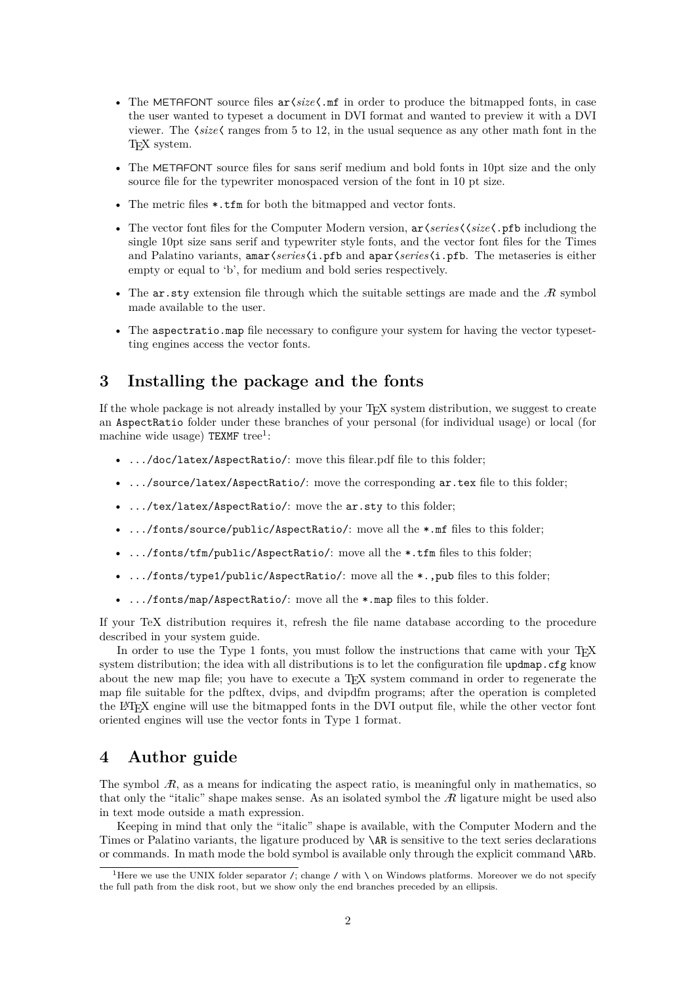- The METAFONT source files ar〈*size*〈.mf in order to produce the bitmapped fonts, in case the user wanted to typeset a document in DVI format and wanted to preview it with a DVI viewer. The 〈*size*〈 ranges from 5 to 12, in the usual sequence as any other math font in the T<sub>EX</sub> system.
- The METAFONT source files for sans serif medium and bold fonts in 10pt size and the only source file for the typewriter monospaced version of the font in 10 pt size.
- The metric files \*.tfm for both the bitmapped and vector fonts.
- The vector font files for the Computer Modern version, ar〈*series*〈〈*size*〈.pfb includiong the single 10pt size sans serif and typewriter style fonts, and the vector font files for the Times and Palatino variants, amar〈*series*〈i.pfb and apar〈*series*〈i.pfb. The metaseries is either empty or equal to 'b', for medium and bold series respectively.
- The  $ar.$  sty extension file through which the suitable settings are made and the  $R$  symbol made available to the user.
- The aspectratio.map file necessary to configure your system for having the vector typesetting engines access the vector fonts.

# **3 Installing the package and the fonts**

If the whole package is not already installed by your T<sub>EX</sub> system distribution, we suggest to create an AspectRatio folder under these branches of your personal (for individual usage) or local (for machine wide usage) TEXMF tree<sup>1</sup>:

- .../doc/latex/AspectRatio/: move this filear.pdf file to this folder;
- .../source/latex/AspectRatio/: move the corresponding ar.tex file to this folder;
- .../tex/latex/AspectRatio/: move the ar.sty to this folder;
- .../fonts/source/public/AspectRatio/: move all the \*.mf files to this folder;
- .../fonts/tfm/public/AspectRatio/: move all the \*.tfm files to this folder;
- .../fonts/type1/public/AspectRatio/: move all the \*.,pub files to this folder;
- .../fonts/map/AspectRatio/: move all the \*.map files to this folder.

If your TeX distribution requires it, refresh the file name database according to the procedure described in your system guide.

In order to use the Type 1 fonts, you must follow the instructions that came with your T<sub>E</sub>X system distribution; the idea with all distributions is to let the configuration file updmap.cfg know about the new map file; you have to execute a T<sub>E</sub>X system command in order to regenerate the map file suitable for the pdftex, dvips, and dvipdfm programs; after the operation is completed the LATEX engine will use the bitmapped fonts in the DVI output file, while the other vector font oriented engines will use the vector fonts in Type 1 format.

## **4 Author guide**

The symbol  $\mathcal{R}$ , as a means for indicating the aspect ratio, is meaningful only in mathematics, so that only the "italic" shape makes sense. As an isolated symbol the  $R$  ligature might be used also in text mode outside a math expression.

Keeping in mind that only the "italic" shape is available, with the Computer Modern and the Times or Palatino variants, the ligature produced by \AR is sensitive to the text series declarations or commands. In math mode the bold symbol is available only through the explicit command \ARb.

<sup>&</sup>lt;sup>1</sup>Here we use the UNIX folder separator /; change / with  $\setminus$  on Windows platforms. Moreover we do not specify the full path from the disk root, but we show only the end branches preceded by an ellipsis.